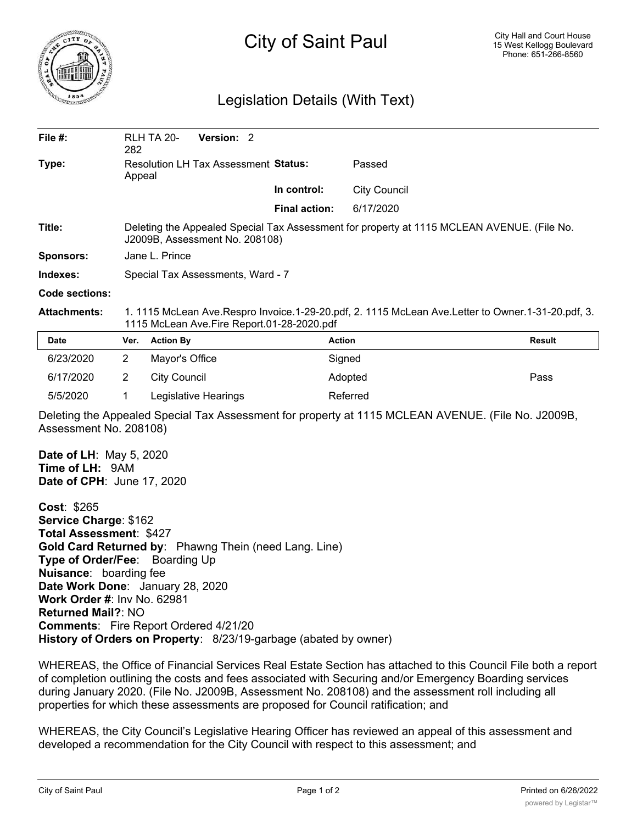

## City of Saint Paul

## Legislation Details (With Text)

| File $#$ :          | 282                                                                                                                                             | <b>RLH TA 20-</b> | Version: 2 |                      |                     |        |  |
|---------------------|-------------------------------------------------------------------------------------------------------------------------------------------------|-------------------|------------|----------------------|---------------------|--------|--|
| Type:               | Resolution LH Tax Assessment Status:<br>Appeal                                                                                                  |                   |            |                      | Passed              |        |  |
|                     |                                                                                                                                                 |                   |            | In control:          | <b>City Council</b> |        |  |
|                     |                                                                                                                                                 |                   |            | <b>Final action:</b> | 6/17/2020           |        |  |
| Title:              | Deleting the Appealed Special Tax Assessment for property at 1115 MCLEAN AVENUE. (File No.<br>J2009B, Assessment No. 208108)                    |                   |            |                      |                     |        |  |
| Sponsors:           | Jane L. Prince                                                                                                                                  |                   |            |                      |                     |        |  |
| Indexes:            | Special Tax Assessments, Ward - 7                                                                                                               |                   |            |                      |                     |        |  |
| Code sections:      |                                                                                                                                                 |                   |            |                      |                     |        |  |
| <b>Attachments:</b> | 1. 1115 McLean Ave.Respro Invoice.1-29-20.pdf, 2. 1115 McLean Ave.Letter to Owner.1-31-20.pdf, 3.<br>1115 McLean Ave.Fire Report.01-28-2020.pdf |                   |            |                      |                     |        |  |
| <b>Date</b>         | Ver.                                                                                                                                            | <b>Action By</b>  |            |                      | <b>Action</b>       | Result |  |
| 6/23/2020           | 2                                                                                                                                               | Mayor's Office    |            |                      | Signed              |        |  |
| 6/17/2020           | $\overline{2}$                                                                                                                                  | City Council      |            |                      | Adopted             | Pass   |  |
|                     |                                                                                                                                                 |                   |            |                      |                     |        |  |

Deleting the Appealed Special Tax Assessment for property at 1115 MCLEAN AVENUE. (File No. J2009B, Assessment No. 208108)

**Date of LH**: May 5, 2020 **Time of LH:** 9AM **Date of CPH**: June 17, 2020

**Cost**: \$265 **Service Charge**: \$162 **Total Assessment**: \$427 **Gold Card Returned by**: Phawng Thein (need Lang. Line) **Type of Order/Fee**: Boarding Up **Nuisance**: boarding fee **Date Work Done**: January 28, 2020 **Work Order #**: Inv No. 62981 **Returned Mail?**: NO **Comments**: Fire Report Ordered 4/21/20 **History of Orders on Property**: 8/23/19-garbage (abated by owner)

5/5/2020 1 Legislative Hearings Referred

WHEREAS, the Office of Financial Services Real Estate Section has attached to this Council File both a report of completion outlining the costs and fees associated with Securing and/or Emergency Boarding services during January 2020. (File No. J2009B, Assessment No. 208108) and the assessment roll including all properties for which these assessments are proposed for Council ratification; and

WHEREAS, the City Council's Legislative Hearing Officer has reviewed an appeal of this assessment and developed a recommendation for the City Council with respect to this assessment; and